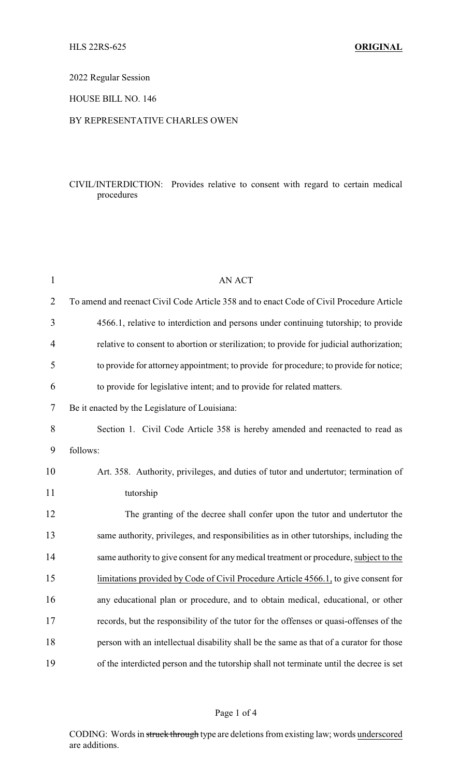# 2022 Regular Session

## HOUSE BILL NO. 146

## BY REPRESENTATIVE CHARLES OWEN

# CIVIL/INTERDICTION: Provides relative to consent with regard to certain medical procedures

| $\mathbf{1}$   | <b>AN ACT</b>                                                                            |  |  |
|----------------|------------------------------------------------------------------------------------------|--|--|
| $\overline{2}$ | To amend and reenact Civil Code Article 358 and to enact Code of Civil Procedure Article |  |  |
| 3              | 4566.1, relative to interdiction and persons under continuing tutorship; to provide      |  |  |
| 4              | relative to consent to abortion or sterilization; to provide for judicial authorization; |  |  |
| 5              | to provide for attorney appointment; to provide for procedure; to provide for notice;    |  |  |
| 6              | to provide for legislative intent; and to provide for related matters.                   |  |  |
| 7              | Be it enacted by the Legislature of Louisiana:                                           |  |  |
| 8              | Section 1. Civil Code Article 358 is hereby amended and reenacted to read as             |  |  |
| 9              | follows:                                                                                 |  |  |
| 10             | Art. 358. Authority, privileges, and duties of tutor and undertutor; termination of      |  |  |
| 11             | tutorship                                                                                |  |  |
| 12             | The granting of the decree shall confer upon the tutor and undertutor the                |  |  |
| 13             | same authority, privileges, and responsibilities as in other tutorships, including the   |  |  |
| 14             | same authority to give consent for any medical treatment or procedure, subject to the    |  |  |
| 15             | limitations provided by Code of Civil Procedure Article 4566.1, to give consent for      |  |  |
| 16             | any educational plan or procedure, and to obtain medical, educational, or other          |  |  |
| 17             | records, but the responsibility of the tutor for the offenses or quasi-offenses of the   |  |  |
| 18             | person with an intellectual disability shall be the same as that of a curator for those  |  |  |
| 19             | of the interdicted person and the tutorship shall not terminate until the decree is set  |  |  |

#### Page 1 of 4

CODING: Words in struck through type are deletions from existing law; words underscored are additions.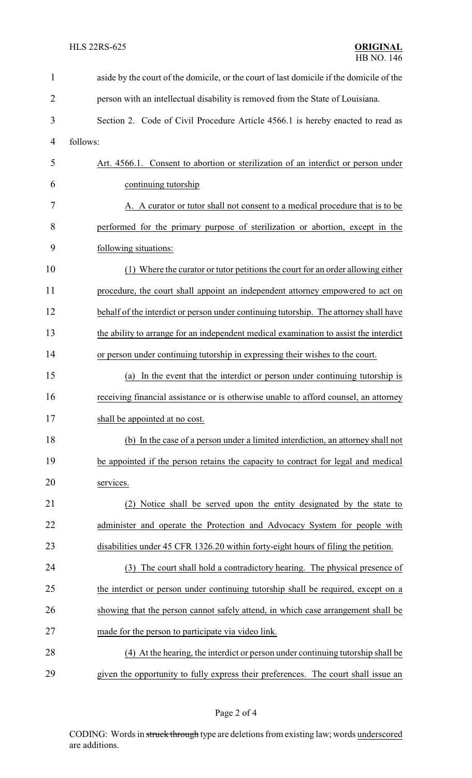| $\mathbf{1}$   | aside by the court of the domicile, or the court of last domicile if the domicile of the |  |  |
|----------------|------------------------------------------------------------------------------------------|--|--|
| $\overline{2}$ | person with an intellectual disability is removed from the State of Louisiana.           |  |  |
| 3              | Section 2. Code of Civil Procedure Article 4566.1 is hereby enacted to read as           |  |  |
| $\overline{4}$ | follows:                                                                                 |  |  |
| 5              | Art. 4566.1. Consent to abortion or sterilization of an interdict or person under        |  |  |
| 6              | continuing tutorship                                                                     |  |  |
| 7              | A. A curator or tutor shall not consent to a medical procedure that is to be             |  |  |
| 8              | performed for the primary purpose of sterilization or abortion, except in the            |  |  |
| 9              | following situations:                                                                    |  |  |
| 10             | (1) Where the curator or tutor petitions the court for an order allowing either          |  |  |
| 11             | procedure, the court shall appoint an independent attorney empowered to act on           |  |  |
| 12             | behalf of the interdict or person under continuing tutorship. The attorney shall have    |  |  |
| 13             | the ability to arrange for an independent medical examination to assist the interdict    |  |  |
| 14             | or person under continuing tutorship in expressing their wishes to the court.            |  |  |
| 15             | In the event that the interdict or person under continuing tutorship is<br>(a)           |  |  |
| 16             | receiving financial assistance or is otherwise unable to afford counsel, an attorney     |  |  |
| 17             | shall be appointed at no cost.                                                           |  |  |
| 18             | (b) In the case of a person under a limited interdiction, an attorney shall not          |  |  |
| 19             | be appointed if the person retains the capacity to contract for legal and medical        |  |  |
| 20             | services.                                                                                |  |  |
| 21             | (2) Notice shall be served upon the entity designated by the state to                    |  |  |
| 22             | administer and operate the Protection and Advocacy System for people with                |  |  |
| 23             | disabilities under 45 CFR 1326.20 within forty-eight hours of filing the petition.       |  |  |
| 24             | (3) The court shall hold a contradictory hearing. The physical presence of               |  |  |
| 25             | the interdict or person under continuing tutorship shall be required, except on a        |  |  |
| 26             | showing that the person cannot safely attend, in which case arrangement shall be         |  |  |
| 27             | made for the person to participate via video link.                                       |  |  |
| 28             | (4) At the hearing, the interdict or person under continuing tutorship shall be          |  |  |
| 29             | given the opportunity to fully express their preferences. The court shall issue an       |  |  |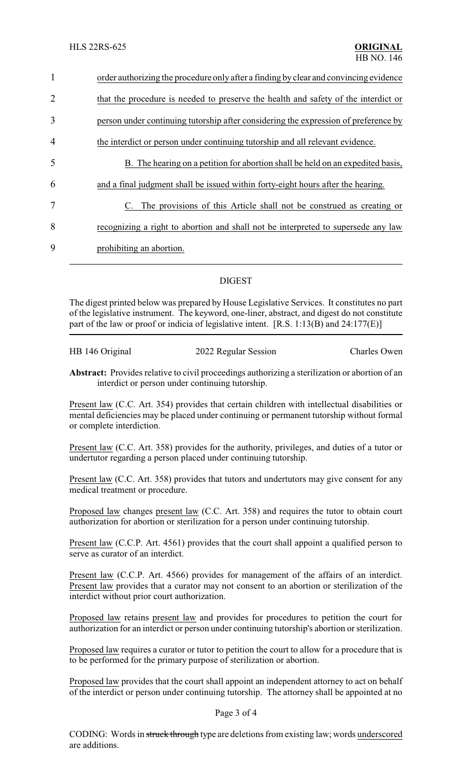| $\mathbf{1}$   | order authorizing the procedure only after a finding by clear and convincing evidence |  |  |
|----------------|---------------------------------------------------------------------------------------|--|--|
| 2              | that the procedure is needed to preserve the health and safety of the interdict or    |  |  |
| 3              | person under continuing tutorship after considering the expression of preference by   |  |  |
| $\overline{4}$ | the interdict or person under continuing tutorship and all relevant evidence.         |  |  |
| 5              | B. The hearing on a petition for abortion shall be held on an expedited basis,        |  |  |
| 6              | and a final judgment shall be issued within forty-eight hours after the hearing.      |  |  |
| 7              | The provisions of this Article shall not be construed as creating or<br>C.            |  |  |
| 8              | recognizing a right to abortion and shall not be interpreted to supersede any law     |  |  |
| 9              | prohibiting an abortion.                                                              |  |  |
|                |                                                                                       |  |  |

# DIGEST

The digest printed below was prepared by House Legislative Services. It constitutes no part of the legislative instrument. The keyword, one-liner, abstract, and digest do not constitute part of the law or proof or indicia of legislative intent.  $[R.S. 1:13(B)$  and  $24:177(E)]$ 

|  | HB 146 Original | 2022 Regular Session | <b>Charles Owen</b> |
|--|-----------------|----------------------|---------------------|
|--|-----------------|----------------------|---------------------|

**Abstract:** Provides relative to civil proceedings authorizing a sterilization or abortion of an interdict or person under continuing tutorship.

Present law (C.C. Art. 354) provides that certain children with intellectual disabilities or mental deficiencies may be placed under continuing or permanent tutorship without formal or complete interdiction.

Present law (C.C. Art. 358) provides for the authority, privileges, and duties of a tutor or undertutor regarding a person placed under continuing tutorship.

Present law (C.C. Art. 358) provides that tutors and undertutors may give consent for any medical treatment or procedure.

Proposed law changes present law (C.C. Art. 358) and requires the tutor to obtain court authorization for abortion or sterilization for a person under continuing tutorship.

Present law (C.C.P. Art. 4561) provides that the court shall appoint a qualified person to serve as curator of an interdict.

Present law (C.C.P. Art. 4566) provides for management of the affairs of an interdict. Present law provides that a curator may not consent to an abortion or sterilization of the interdict without prior court authorization.

Proposed law retains present law and provides for procedures to petition the court for authorization for an interdict or person under continuing tutorship's abortion or sterilization.

Proposed law requires a curator or tutor to petition the court to allow for a procedure that is to be performed for the primary purpose of sterilization or abortion.

Proposed law provides that the court shall appoint an independent attorney to act on behalf of the interdict or person under continuing tutorship. The attorney shall be appointed at no

#### Page 3 of 4

CODING: Words in struck through type are deletions from existing law; words underscored are additions.